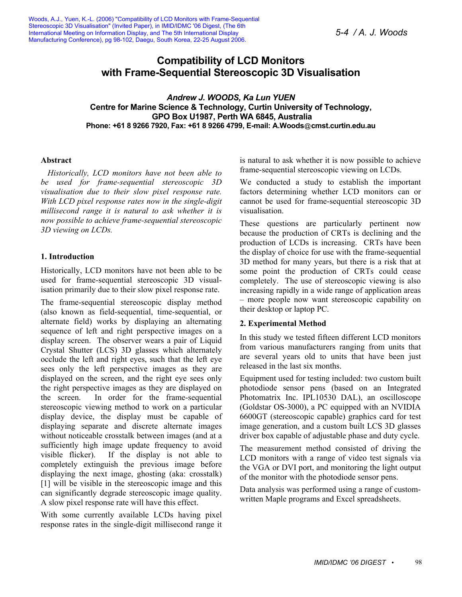# **Compatibility of LCD Monitors with Frame-Sequential Stereoscopic 3D Visualisation**

*Andrew J. WOODS, Ka Lun YUEN*  **Centre for Marine Science & Technology, Curtin University of Technology, GPO Box U1987, Perth WA 6845, Australia Phone: +61 8 9266 7920, Fax: +61 8 9266 4799, E-mail: A.Woods cmst.curtin.edu.au** 

#### **Abstract**

*Historically, LCD monitors have not been able to be used for frame-sequential stereoscopic 3D visualisation due to their slow pixel response rate. With LCD pixel response rates now in the single-digit millisecond range it is natural to ask whether it is now possible to achieve frame-sequential stereoscopic 3D viewing on LCDs.* 

## **1. Introduction**

Historically, LCD monitors have not been able to be used for frame-sequential stereoscopic 3D visualisation primarily due to their slow pixel response rate.

The frame-sequential stereoscopic display method (also known as field-sequential, time-sequential, or alternate field) works by displaying an alternating sequence of left and right perspective images on a display screen. The observer wears a pair of Liquid Crystal Shutter (LCS) 3D glasses which alternately occlude the left and right eyes, such that the left eye sees only the left perspective images as they are displayed on the screen, and the right eye sees only the right perspective images as they are displayed on the screen. In order for the frame-sequential stereoscopic viewing method to work on a particular display device, the display must be capable of displaying separate and discrete alternate images without noticeable crosstalk between images (and at a sufficiently high image update frequency to avoid visible flicker). If the display is not able to completely extinguish the previous image before displaying the next image, ghosting (aka: crosstalk) [1] will be visible in the stereoscopic image and this can significantly degrade stereoscopic image quality. A slow pixel response rate will have this effect.

With some currently available LCDs having pixel response rates in the single-digit millisecond range it is natural to ask whether it is now possible to achieve frame-sequential stereoscopic viewing on LCDs.

We conducted a study to establish the important factors determining whether LCD monitors can or cannot be used for frame-sequential stereoscopic 3D visualisation.

These questions are particularly pertinent now because the production of CRTs is declining and the production of LCDs is increasing. CRTs have been the display of choice for use with the frame-sequential 3D method for many years, but there is a risk that at some point the production of CRTs could cease completely. The use of stereoscopic viewing is also increasing rapidly in a wide range of application areas – more people now want stereoscopic capability on their desktop or laptop PC.

# **2. Experimental Method**

In this study we tested fifteen different LCD monitors from various manufacturers ranging from units that are several years old to units that have been just released in the last six months.

Equipment used for testing included: two custom built photodiode sensor pens (based on an Integrated Photomatrix Inc. IPL10530 DAL), an oscilloscope (Goldstar OS-3000), a PC equipped with an NVIDIA 6600GT (stereoscopic capable) graphics card for test image generation, and a custom built LCS 3D glasses driver box capable of adjustable phase and duty cycle.

The measurement method consisted of driving the LCD monitors with a range of video test signals via the VGA or DVI port, and monitoring the light output of the monitor with the photodiode sensor pens.

Data analysis was performed using a range of customwritten Maple programs and Excel spreadsheets.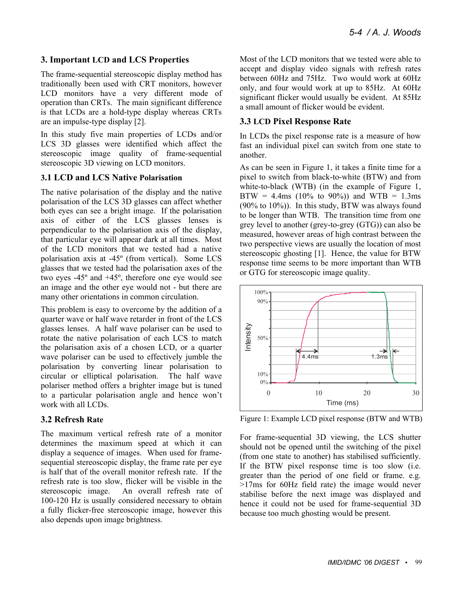# **3. Important LCD and LCS Properties**

The frame-sequential stereoscopic display method has traditionally been used with CRT monitors, however LCD monitors have a very different mode of operation than CRTs. The main significant difference is that LCDs are a hold-type display whereas CRTs are an impulse-type display [2].

In this study five main properties of LCDs and/or LCS 3D glasses were identified which affect the stereoscopic image quality of frame-sequential stereoscopic 3D viewing on LCD monitors.

#### **3.1 LCD and LCS Native Polarisation**

The native polarisation of the display and the native polarisation of the LCS 3D glasses can affect whether both eyes can see a bright image. If the polarisation axis of either of the LCS glasses lenses is perpendicular to the polarisation axis of the display, that particular eye will appear dark at all times. Most of the LCD monitors that we tested had a native polarisation axis at -45º (from vertical). Some LCS glasses that we tested had the polarisation axes of the two eyes -45º and +45º, therefore one eye would see an image and the other eye would not - but there are many other orientations in common circulation.

This problem is easy to overcome by the addition of a quarter wave or half wave retarder in front of the LCS glasses lenses. A half wave polariser can be used to rotate the native polarisation of each LCS to match the polarisation axis of a chosen LCD, or a quarter wave polariser can be used to effectively jumble the polarisation by converting linear polarisation to circular or elliptical polarisation. The half wave polariser method offers a brighter image but is tuned to a particular polarisation angle and hence won't work with all LCDs.

# **3.2 Refresh Rate**

The maximum vertical refresh rate of a monitor determines the maximum speed at which it can display a sequence of images. When used for framesequential stereoscopic display, the frame rate per eye is half that of the overall monitor refresh rate. If the refresh rate is too slow, flicker will be visible in the stereoscopic image. An overall refresh rate of 100-120 Hz is usually considered necessary to obtain a fully flicker-free stereoscopic image, however this also depends upon image brightness.

Most of the LCD monitors that we tested were able to accept and display video signals with refresh rates between 60Hz and 75Hz. Two would work at 60Hz only, and four would work at up to 85Hz. At 60Hz significant flicker would usually be evident. At 85Hz a small amount of flicker would be evident.

## **3.3 LCD Pixel Response Rate**

In LCDs the pixel response rate is a measure of how fast an individual pixel can switch from one state to another.

As can be seen in Figure 1, it takes a finite time for a pixel to switch from black-to-white (BTW) and from white-to-black (WTB) (in the example of Figure 1, BTW = 4.4ms (10% to 90%)) and WTB = 1.3ms (90% to 10%)). In this study, BTW was always found to be longer than WTB. The transition time from one grey level to another (grey-to-grey (GTG)) can also be measured, however areas of high contrast between the two perspective views are usually the location of most stereoscopic ghosting [1]. Hence, the value for BTW response time seems to be more important than WTB or GTG for stereoscopic image quality.



Figure 1: Example LCD pixel response (BTW and WTB)

For frame-sequential 3D viewing, the LCS shutter should not be opened until the switching of the pixel (from one state to another) has stabilised sufficiently. If the BTW pixel response time is too slow (i.e. greater than the period of one field or frame. e.g. >17ms for 60Hz field rate) the image would never stabilise before the next image was displayed and hence it could not be used for frame-sequential 3D because too much ghosting would be present.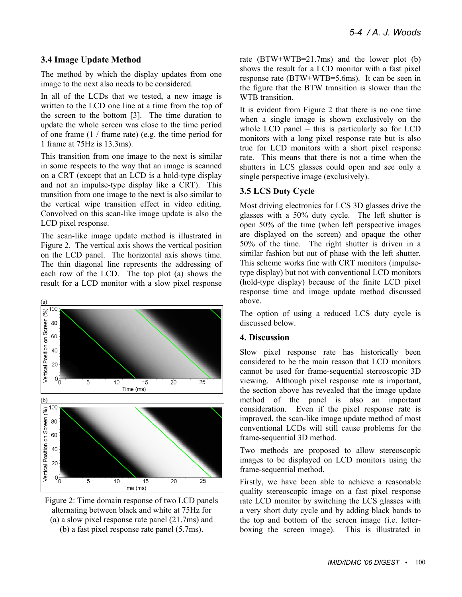### **3.4 Image Update Method**

The method by which the display updates from one image to the next also needs to be considered.

In all of the LCDs that we tested, a new image is written to the LCD one line at a time from the top of the screen to the bottom [3]. The time duration to update the whole screen was close to the time period of one frame (1 / frame rate) (e.g. the time period for 1 frame at 75Hz is 13.3ms).

This transition from one image to the next is similar in some respects to the way that an image is scanned on a CRT (except that an LCD is a hold-type display and not an impulse-type display like a CRT). This transition from one image to the next is also similar to the vertical wipe transition effect in video editing. Convolved on this scan-like image update is also the LCD pixel response.

The scan-like image update method is illustrated in Figure 2. The vertical axis shows the vertical position on the LCD panel. The horizontal axis shows time. The thin diagonal line represents the addressing of each row of the LCD. The top plot (a) shows the result for a LCD monitor with a slow pixel response



Figure 2: Time domain response of two LCD panels alternating between black and white at 75Hz for (a) a slow pixel response rate panel (21.7ms) and (b) a fast pixel response rate panel (5.7ms).

rate (BTW+WTB=21.7ms) and the lower plot (b) shows the result for a LCD monitor with a fast pixel response rate (BTW+WTB=5.6ms). It can be seen in the figure that the BTW transition is slower than the WTB transition.

It is evident from Figure 2 that there is no one time when a single image is shown exclusively on the whole LCD panel – this is particularly so for LCD monitors with a long pixel response rate but is also true for LCD monitors with a short pixel response rate. This means that there is not a time when the shutters in LCS glasses could open and see only a single perspective image (exclusively).

# **3.5 LCS Duty Cycle**

Most driving electronics for LCS 3D glasses drive the glasses with a 50% duty cycle. The left shutter is open 50% of the time (when left perspective images are displayed on the screen) and opaque the other 50% of the time. The right shutter is driven in a similar fashion but out of phase with the left shutter. This scheme works fine with CRT monitors (impulsetype display) but not with conventional LCD monitors (hold-type display) because of the finite LCD pixel response time and image update method discussed above.

The option of using a reduced LCS duty cycle is discussed below.

# **4. Discussion**

Slow pixel response rate has historically been considered to be the main reason that LCD monitors cannot be used for frame-sequential stereoscopic 3D viewing. Although pixel response rate is important, the section above has revealed that the image update method of the panel is also an important consideration. Even if the pixel response rate is improved, the scan-like image update method of most conventional LCDs will still cause problems for the frame-sequential 3D method.

Two methods are proposed to allow stereoscopic images to be displayed on LCD monitors using the frame-sequential method.

Firstly, we have been able to achieve a reasonable quality stereoscopic image on a fast pixel response rate LCD monitor by switching the LCS glasses with a very short duty cycle and by adding black bands to the top and bottom of the screen image (i.e. letterboxing the screen image). This is illustrated in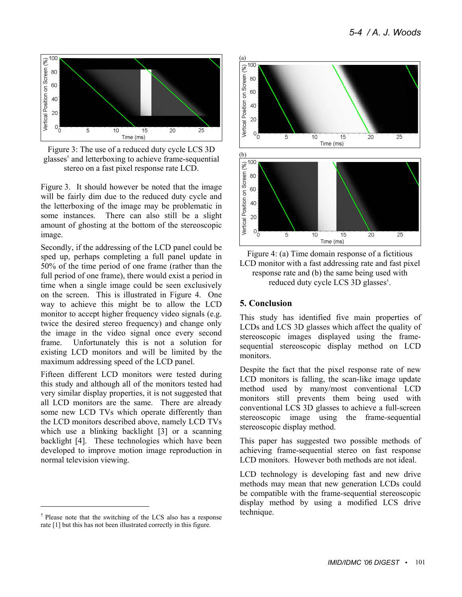

Figure 3: The use of a reduced duty cycle LCS 3D glasses† and letterboxing to achieve frame-sequential stereo on a fast pixel response rate LCD.

Figure 3. It should however be noted that the image will be fairly dim due to the reduced duty cycle and the letterboxing of the image may be problematic in some instances. There can also still be a slight amount of ghosting at the bottom of the stereoscopic image.

Secondly, if the addressing of the LCD panel could be sped up, perhaps completing a full panel update in 50% of the time period of one frame (rather than the full period of one frame), there would exist a period in time when a single image could be seen exclusively on the screen. This is illustrated in Figure 4. One way to achieve this might be to allow the LCD monitor to accept higher frequency video signals (e.g. twice the desired stereo frequency) and change only the image in the video signal once every second frame. Unfortunately this is not a solution for existing LCD monitors and will be limited by the maximum addressing speed of the LCD panel.

Fifteen different LCD monitors were tested during this study and although all of the monitors tested had very similar display properties, it is not suggested that all LCD monitors are the same. There are already some new LCD TVs which operate differently than the LCD monitors described above, namely LCD TVs which use a blinking backlight [3] or a scanning backlight [4]. These technologies which have been developed to improve motion image reproduction in normal television viewing.

l



Figure 4: (a) Time domain response of a fictitious LCD monitor with a fast addressing rate and fast pixel response rate and (b) the same being used with reduced duty cycle LCS 3D glasses† .

# **5. Conclusion**

This study has identified five main properties of LCDs and LCS 3D glasses which affect the quality of stereoscopic images displayed using the framesequential stereoscopic display method on LCD monitors.

Despite the fact that the pixel response rate of new LCD monitors is falling, the scan-like image update method used by many/most conventional LCD monitors still prevents them being used with conventional LCS 3D glasses to achieve a full-screen stereoscopic image using the frame-sequential stereoscopic display method.

This paper has suggested two possible methods of achieving frame-sequential stereo on fast response LCD monitors. However both methods are not ideal.

LCD technology is developing fast and new drive methods may mean that new generation LCDs could be compatible with the frame-sequential stereoscopic display method by using a modified LCS drive technique.

<sup>†</sup> Please note that the switching of the LCS also has a response rate [1] but this has not been illustrated correctly in this figure.